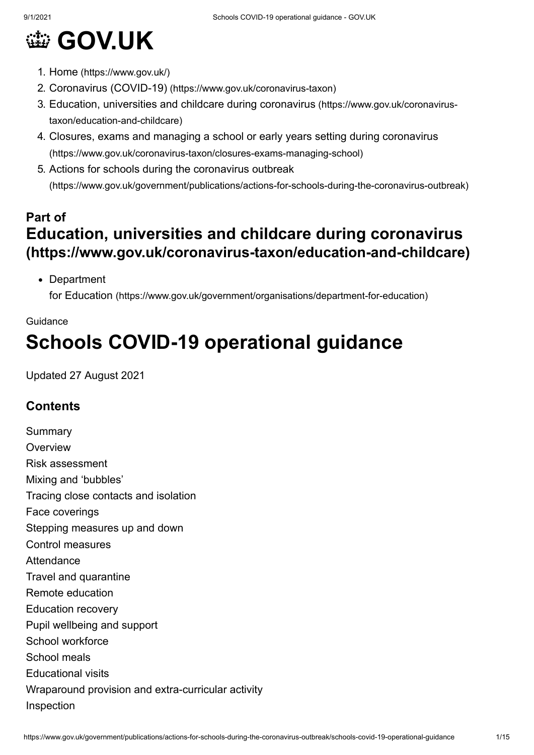# **@ [GOV.UK](https://www.gov.uk/)**

- 1. Home [\(https://www.gov.uk/\)](https://www.gov.uk/)
- 2. Coronavirus (COVID-19) [\(https://www.gov.uk/coronavirus-taxon\)](https://www.gov.uk/coronavirus-taxon)
- 3. [Education, universities and childcare during coronavirus](https://www.gov.uk/coronavirus-taxon/education-and-childcare) (https://www.gov.uk/coronavirustaxon/education-and-childcare)
- 4. [Closures, exams and managing a school or early years setting during coronavirus](https://www.gov.uk/coronavirus-taxon/closures-exams-managing-school) (https://www.gov.uk/coronavirus-taxon/closures-exams-managing-school)
- 5. Actions for schools during the coronavirus outbreak [\(https://www.gov.uk/government/publications/actions-for-schools-during-the-coronavirus-outbreak\)](https://www.gov.uk/government/publications/actions-for-schools-during-the-coronavirus-outbreak)

## **Part of [Education, universities and childcare during coronavirus](https://www.gov.uk/coronavirus-taxon/education-and-childcare) (https://www.gov.uk/coronavirus-taxon/education-and-childcare)**

• Department

for Education [\(https://www.gov.uk/government/organisations/department-for-education\)](https://www.gov.uk/government/organisations/department-for-education)

## Guidance **Schools COVID-19 operational guidance**

Updated 27 August 2021

## **Contents**

Summary **Overview** Risk assessment Mixing and 'bubbles' Tracing close contacts and isolation Face coverings Stepping measures up and down Control measures Attendance Travel and quarantine Remote education Education recovery Pupil wellbeing and support School workforce School meals Educational visits Wraparound provision and extra-curricular activity Inspection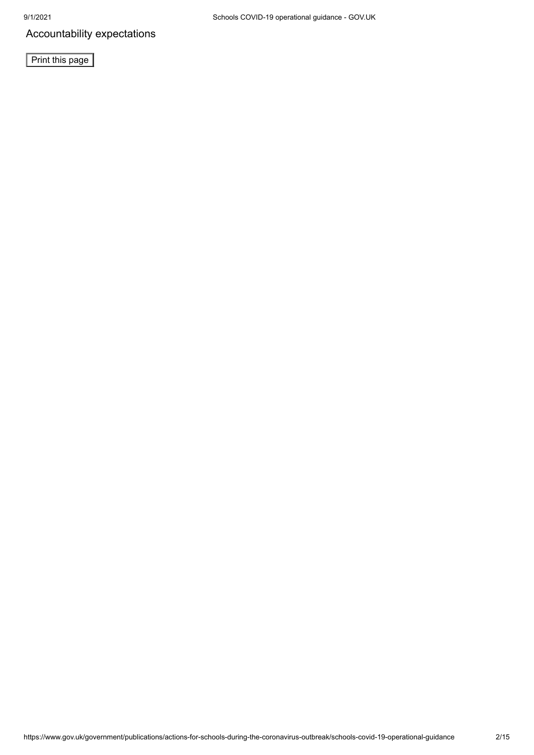Accountability expectations

**Print this page**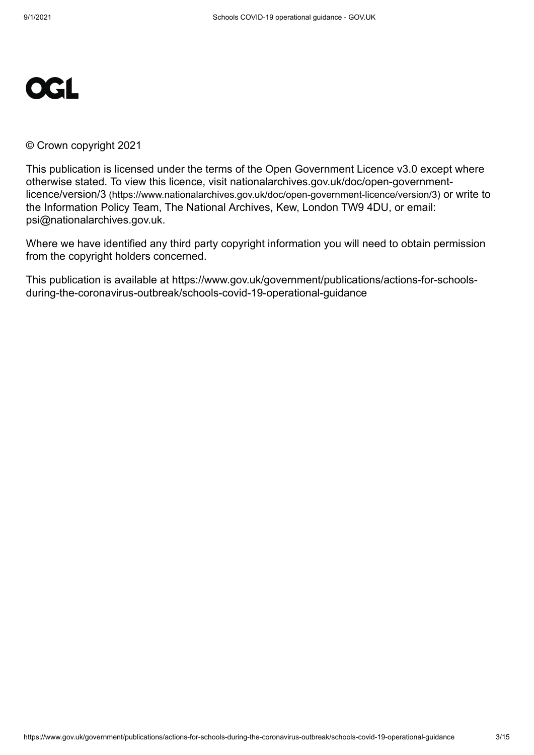

© Crown copyright 2021

This publication is licensed under the terms of the Open Government Licence v3.0 except where [otherwise stated. To view this licence, visit nationalarchives.gov.uk/doc/open-government](https://www.nationalarchives.gov.uk/doc/open-government-licence/version/3)licence/version/3 (https://www.nationalarchives.gov.uk/doc/open-government-licence/version/3) or write to the Information Policy Team, The National Archives, Kew, London TW9 4DU, or email: [psi@nationalarchives.gov.uk](mailto:psi@nationalarchives.gov.uk).

Where we have identified any third party copyright information you will need to obtain permission from the copyright holders concerned.

This publication is available at https://www.gov.uk/government/publications/actions-for-schoolsduring-the-coronavirus-outbreak/schools-covid-19-operational-guidance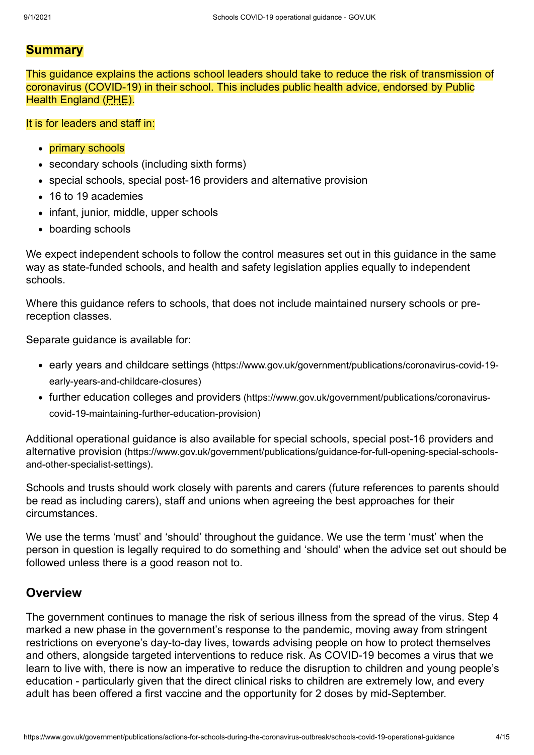### **Summary**

This guidance explains the actions school leaders should take to reduce the risk of transmission of coronavirus (COVID-19) in their school. This includes public health advice, endorsed by Public Health England (PHE).

#### It is for leaders and staff in:

- primary schools
- secondary schools (including sixth forms)
- special schools, special post-16 providers and alternative provision
- 16 to 19 academies
- infant, junior, middle, upper schools
- boarding schools

We expect independent schools to follow the control measures set out in this guidance in the same way as state-funded schools, and health and safety legislation applies equally to independent schools.

Where this guidance refers to schools, that does not include maintained nursery schools or prereception classes.

Separate guidance is available for:

- early years and childcare settings [\(https://www.gov.uk/government/publications/coronavirus-covid-19](https://www.gov.uk/government/publications/coronavirus-covid-19-early-years-and-childcare-closures) early-years-and-childcare-closures)
- further education colleges and providers [\(https://www.gov.uk/government/publications/coronavirus](https://www.gov.uk/government/publications/coronavirus-covid-19-maintaining-further-education-provision)covid-19-maintaining-further-education-provision)

[Additional operational guidance is also available for special schools, special post-16 providers and](https://www.gov.uk/government/publications/guidance-for-full-opening-special-schools-and-other-specialist-settings) alternative provision (https://www.gov.uk/government/publications/guidance-for-full-opening-special-schoolsand-other-specialist-settings).

Schools and trusts should work closely with parents and carers (future references to parents should be read as including carers), staff and unions when agreeing the best approaches for their circumstances.

We use the terms 'must' and 'should' throughout the guidance. We use the term 'must' when the person in question is legally required to do something and 'should' when the advice set out should be followed unless there is a good reason not to.

## **Overview**

The government continues to manage the risk of serious illness from the spread of the virus. Step 4 marked a new phase in the government's response to the pandemic, moving away from stringent restrictions on everyone's day-to-day lives, towards advising people on how to protect themselves and others, alongside targeted interventions to reduce risk. As COVID-19 becomes a virus that we learn to live with, there is now an imperative to reduce the disruption to children and young people's education - particularly given that the direct clinical risks to children are extremely low, and every adult has been offered a first vaccine and the opportunity for 2 doses by mid-September.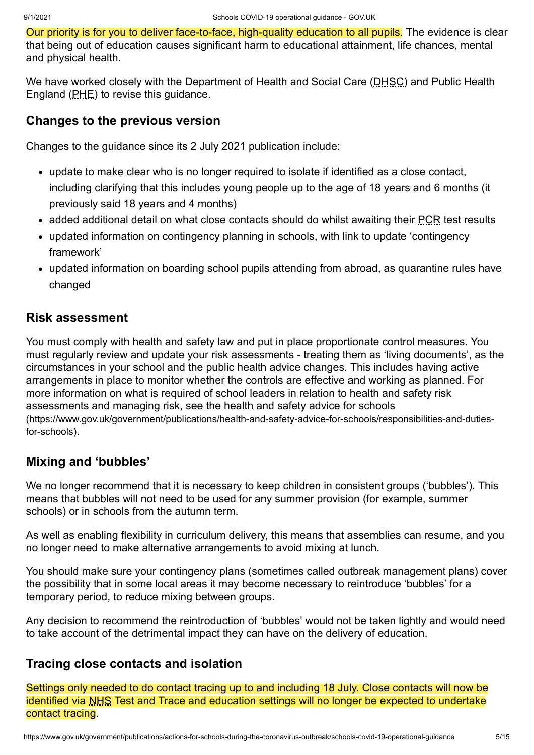Our priority is for you to deliver face-to-face, high-quality education to all pupils. The evidence is clear that being out of education causes significant harm to educational attainment, life chances, mental and physical health.

We have worked closely with the Department of Health and Social Care (DHSC) and Public Health England (PHE) to revise this guidance.

## **Changes to the previous version**

Changes to the guidance since its 2 July 2021 publication include:

- update to make clear who is no longer required to isolate if identified as a close contact, [including clarifying that this includes young people up to the age of 18 years and 6 months \(it](#page-4-0) previously said 18 years and 4 months)
- [added additional detail on what close contacts should do whilst awaiting their PCR test results](#page-4-0)
- [updated information on contingency planning in schools, with link to update 'contingency](#page-6-0) framework'
- [updated information on boarding school pupils attending from abroad, as quarantine rules have](#page-10-0) changed

## **Risk assessment**

You must comply with health and safety law and put in place proportionate control measures. You must regularly review and update your risk assessments - treating them as 'living documents', as the circumstances in your school and the public health advice changes. This includes having active arrangements in place to monitor whether the controls are effective and working as planned. For more information on what is required of school leaders in relation to health and safety risk assessments and managing risk, see the health and safety advice for schools [\(https://www.gov.uk/government/publications/health-and-safety-advice-for-schools/responsibilities-and-duties](https://www.gov.uk/government/publications/health-and-safety-advice-for-schools/responsibilities-and-duties-for-schools)for-schools).

## **Mixing and 'bubbles'**

We no longer recommend that it is necessary to keep children in consistent groups ('bubbles'). This means that bubbles will not need to be used for any summer provision (for example, summer schools) or in schools from the autumn term.

As well as enabling flexibility in curriculum delivery, this means that assemblies can resume, and you no longer need to make alternative arrangements to avoid mixing at lunch.

You should make sure your contingency plans (sometimes called outbreak management plans) cover the possibility that in some local areas it may become necessary to reintroduce 'bubbles' for a temporary period, to reduce mixing between groups.

Any decision to recommend the reintroduction of 'bubbles' would not be taken lightly and would need to take account of the detrimental impact they can have on the delivery of education.

## <span id="page-4-0"></span>**Tracing close contacts and isolation**

Settings only needed to do contact tracing up to and including 18 July. Close contacts will now be identified via NHS Test and Trace and education settings will no longer be expected to undertake contact tracing.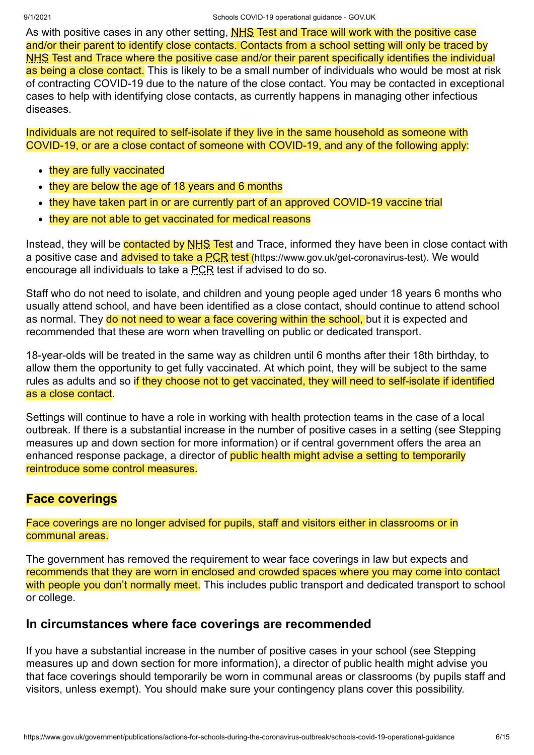As with positive cases in any other setting, **NHS Test and Trace will work with the positive case** and/or their parent to identify close contacts. Contacts from a school setting will only be traced by NHS Test and Trace where the positive case and/or their parent specifically identifies the individual as being a close contact. This is likely to be a small number of individuals who would be most at risk of contracting COVID-19 due to the nature of the close contact. You may be contacted in exceptional cases to help with identifying close contacts, as currently happens in managing other infectious diseases.

Individuals are not required to self-isolate if they live in the same household as someone with COVID-19, or are a close contact of someone with COVID-19, and any of the following apply:

- they are fully vaccinated
- they are below the age of 18 years and 6 months
- they have taken part in or are currently part of an approved COVID-19 vaccine trial
- they are not able to get vaccinated for medical reasons

Instead, they will be **contacted by NHS Test** and Trace, informed they have been in close contact with a positive case and **advised to take a PCR test** [\(https://www.gov.uk/get-coronavirus-test\)](https://www.gov.uk/get-coronavirus-test). We would encourage all individuals to take a PCR test if advised to do so.

Staff who do not need to isolate, and children and young people aged under 18 years 6 months who usually attend school, and have been identified as a close contact, should continue to attend school as normal. They do not need to wear a face covering within the school, but it is expected and recommended that these are worn when travelling on public or dedicated transport.

18-year-olds will be treated in the same way as children until 6 months after their 18th birthday, to allow them the opportunity to get fully vaccinated. At which point, they will be subject to the same rules as adults and so if they choose not to get vaccinated, they will need to self-isolate if identified as a close contact.

Settings will continue to have a role in working with health protection teams in the case of a local [outbreak. If there is a substantial increase in the number of positive cases in a setting \(see Stepping](#page-6-0) measures up and down section for more information) or if central government offers the area an enhanced response package, a director of public health might advise a setting to temporarily reintroduce some control measures.

## **Face coverings**

Face coverings are no longer advised for pupils, staff and visitors either in classrooms or in communal areas.

The government has removed the requirement to wear face coverings in law but expects and recommends that they are worn in enclosed and crowded spaces where you may come into contact with people you don't normally meet. This includes public transport and dedicated transport to school or college.

## **In circumstances where face coverings are recommended**

[If you have a substantial increase in the number of positive cases in your school \(see Stepping](#page-6-0) measures up and down section for more information), a director of public health might advise you that face coverings should temporarily be worn in communal areas or classrooms (by pupils staff and visitors, unless exempt). You should make sure your contingency plans cover this possibility.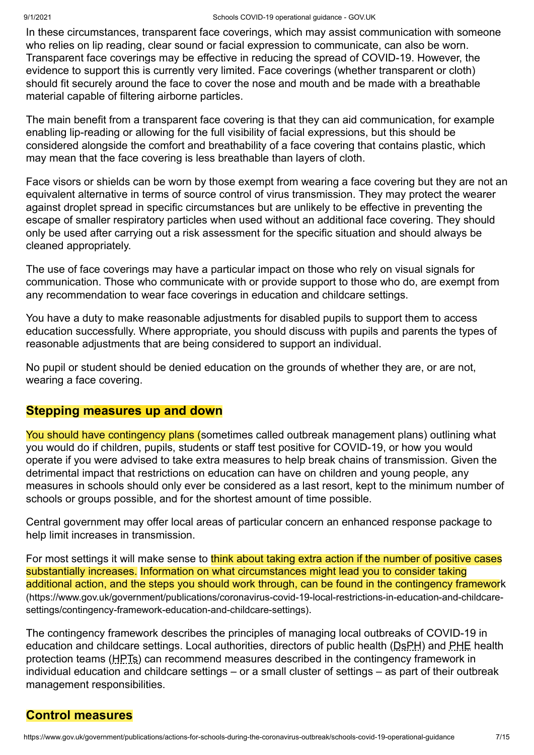In these circumstances, transparent face coverings, which may assist communication with someone who relies on lip reading, clear sound or facial expression to communicate, can also be worn. Transparent face coverings may be effective in reducing the spread of COVID-19. However, the evidence to support this is currently very limited. Face coverings (whether transparent or cloth) should fit securely around the face to cover the nose and mouth and be made with a breathable material capable of filtering airborne particles.

The main benefit from a transparent face covering is that they can aid communication, for example enabling lip-reading or allowing for the full visibility of facial expressions, but this should be considered alongside the comfort and breathability of a face covering that contains plastic, which may mean that the face covering is less breathable than layers of cloth.

Face visors or shields can be worn by those exempt from wearing a face covering but they are not an equivalent alternative in terms of source control of virus transmission. They may protect the wearer against droplet spread in specific circumstances but are unlikely to be effective in preventing the escape of smaller respiratory particles when used without an additional face covering. They should only be used after carrying out a risk assessment for the specific situation and should always be cleaned appropriately.

The use of face coverings may have a particular impact on those who rely on visual signals for communication. Those who communicate with or provide support to those who do, are exempt from any recommendation to wear face coverings in education and childcare settings.

You have a duty to make reasonable adjustments for disabled pupils to support them to access education successfully. Where appropriate, you should discuss with pupils and parents the types of reasonable adjustments that are being considered to support an individual.

No pupil or student should be denied education on the grounds of whether they are, or are not, wearing a face covering.

## <span id="page-6-0"></span>**Stepping measures up and down**

You should have contingency plans (sometimes called outbreak management plans) outlining what you would do if children, pupils, students or staff test positive for COVID-19, or how you would operate if you were advised to take extra measures to help break chains of transmission. Given the detrimental impact that restrictions on education can have on children and young people, any measures in schools should only ever be considered as a last resort, kept to the minimum number of schools or groups possible, and for the shortest amount of time possible.

Central government may offer local areas of particular concern an enhanced response package to help limit increases in transmission.

For most settings it will make sense to think about taking extra action if the number of positive cases substantially increases. Information on what circumstances might lead you to consider taking [additional action, and the steps you should work through, can be found in the contingency framework](https://www.gov.uk/government/publications/coronavirus-covid-19-local-restrictions-in-education-and-childcare-settings/contingency-framework-education-and-childcare-settings) (https://www.gov.uk/government/publications/coronavirus-covid-19-local-restrictions-in-education-and-childcaresettings/contingency-framework-education-and-childcare-settings).

The contingency framework describes the principles of managing local outbreaks of COVID-19 in education and childcare settings. Local authorities, directors of public health (DsPH) and PHE health protection teams (HPTs) can recommend measures described in the contingency framework in individual education and childcare settings – or a small cluster of settings – as part of their outbreak management responsibilities.

## **Control measures**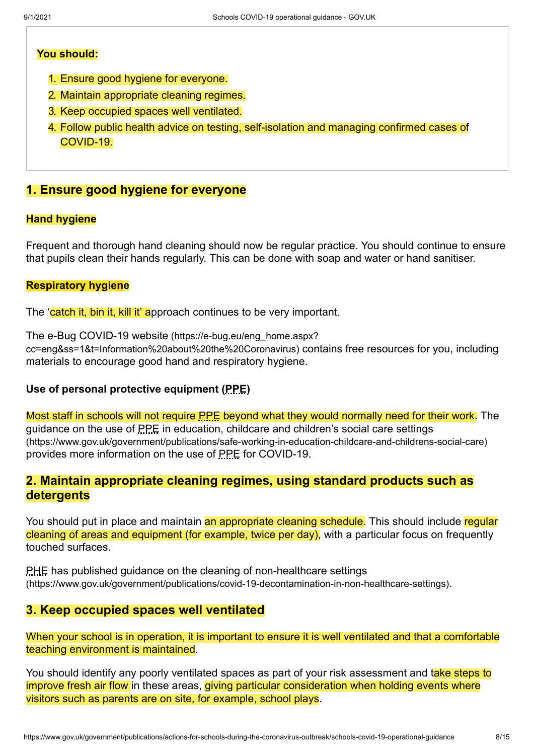#### **You should:**

- 1. Ensure good hygiene for everyone.
- 2. Maintain appropriate cleaning regimes.
- 3. Keep occupied spaces well ventilated.
- 4. Follow public health advice on testing, self-isolation and managing confirmed cases of COVID-19.

## **1. Ensure good hygiene for everyone**

#### **Hand hygiene**

Frequent and thorough hand cleaning should now be regular practice. You should continue to ensure that pupils clean their hands regularly. This can be done with soap and water or hand sanitiser.

#### **Respiratory hygiene**

The 'catch it, bin it, kill it' approach continues to be very important.

The e-Bug COVID-19 website (https://e-bug.eu/eng\_home.aspx? [cc=eng&ss=1&t=Information%20about%20the%20Coronavirus\)](https://e-bug.eu/eng_home.aspx?cc=eng&ss=1&t=Information%20about%20the%20Coronavirus) contains free resources for you, including materials to encourage good hand and respiratory hygiene.

#### **Use of personal protective equipment (PPE)**

Most staff in schools will not require PPE beyond what they would normally need for their work. The guidance on the use of PPE in education, childcare and children's social care settings [\(https://www.gov.uk/government/publications/safe-working-in-education-childcare-and-childrens-social-care\)](https://www.gov.uk/government/publications/safe-working-in-education-childcare-and-childrens-social-care) provides more information on the use of PPE for COVID-19.

## **2. Maintain appropriate cleaning regimes, using standard products such as detergents**

You should put in place and maintain an appropriate cleaning schedule. This should include regular cleaning of areas and equipment (for example, twice per day), with a particular focus on frequently touched surfaces.

PHE has published guidance on the cleaning of non-healthcare settings [\(https://www.gov.uk/government/publications/covid-19-decontamination-in-non-healthcare-settings\)](https://www.gov.uk/government/publications/covid-19-decontamination-in-non-healthcare-settings).

## **3. Keep occupied spaces well ventilated**

When your school is in operation, it is important to ensure it is well ventilated and that a comfortable teaching environment is maintained.

You should identify any poorly ventilated spaces as part of your risk assessment and take steps to improve fresh air flow in these areas, giving particular consideration when holding events where visitors such as parents are on site, for example, school plays.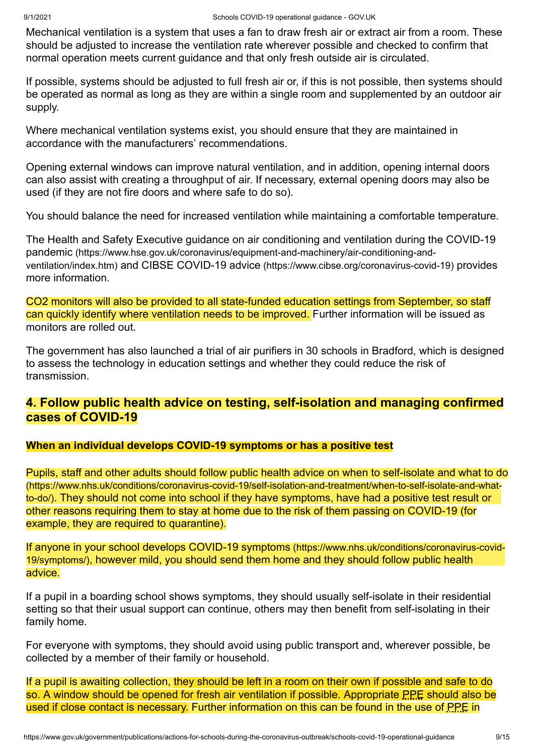Mechanical ventilation is a system that uses a fan to draw fresh air or extract air from a room. These should be adjusted to increase the ventilation rate wherever possible and checked to confirm that normal operation meets current guidance and that only fresh outside air is circulated.

If possible, systems should be adjusted to full fresh air or, if this is not possible, then systems should be operated as normal as long as they are within a single room and supplemented by an outdoor air supply.

Where mechanical ventilation systems exist, you should ensure that they are maintained in accordance with the manufacturers' recommendations.

Opening external windows can improve natural ventilation, and in addition, opening internal doors can also assist with creating a throughput of air. If necessary, external opening doors may also be used (if they are not fire doors and where safe to do so).

You should balance the need for increased ventilation while maintaining a comfortable temperature.

[The Health and Safety Executive guidance on air conditioning and ventilation during the COVID-19](https://www.hse.gov.uk/coronavirus/equipment-and-machinery/air-conditioning-and-ventilation/index.htm) pandemic (https://www.hse.gov.uk/coronavirus/equipment-and-machinery/air-conditioning-andventilation/index.htm) and CIBSE COVID-19 advice [\(https://www.cibse.org/coronavirus-covid-19\)](https://www.cibse.org/coronavirus-covid-19) provides more information.

CO2 monitors will also be provided to all state-funded education settings from September, so staff can quickly identify where ventilation needs to be improved. Further information will be issued as monitors are rolled out.

The government has also launched a trial of air purifiers in 30 schools in Bradford, which is designed to assess the technology in education settings and whether they could reduce the risk of transmission.

## **4. Follow public health advice on testing, self-isolation and managing confirmed cases of COVID-19**

#### **When an individual develops COVID-19 symptoms or has a positive test**

[Pupils, staff and other adults should follow public health advice on when to self-isolate and what to do](https://www.nhs.uk/conditions/coronavirus-covid-19/self-isolation-and-treatment/when-to-self-isolate-and-what-to-do/) (https://www.nhs.uk/conditions/coronavirus-covid-19/self-isolation-and-treatment/when-to-self-isolate-and-whatto-do/). They should not come into school if they have symptoms, have had a positive test result or other reasons requiring them to stay at home due to the risk of them passing on COVID-19 (for example, they are required to quarantine).

If anyone in your school develops COVID-19 symptoms (https://www.nhs.uk/conditions/coronavirus-covid-19/symptoms/)[, however mild, you should send them home and they should follow public health](https://www.nhs.uk/conditions/coronavirus-covid-19/symptoms/) advice.

If a pupil in a boarding school shows symptoms, they should usually self-isolate in their residential setting so that their usual support can continue, others may then benefit from self-isolating in their family home.

For everyone with symptoms, they should avoid using public transport and, wherever possible, be collected by a member of their family or household.

If a pupil is awaiting collection, they should be left in a room on their own if possible and safe to do so. A window should be opened for fresh air ventilation if possible. Appropriate PPE should also be [used if close contact is necessary. Further information on this can be found in the use of PPE in](https://www.gov.uk/government/publications/safe-working-in-education-childcare-and-childrens-social-care)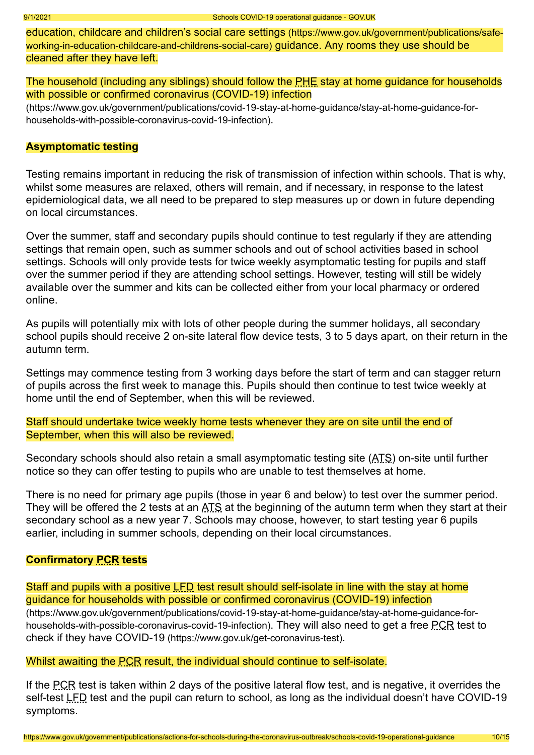[education, childcare and children's social care settings](https://www.gov.uk/government/publications/safe-working-in-education-childcare-and-childrens-social-care) (https://www.gov.uk/government/publications/safeworking-in-education-childcare-and-childrens-social-care) guidance. Any rooms they use should be cleaned after they have left.

The household (including any siblings) should follow the PHE stay at home guidance for households with possible or confirmed coronavirus (COVID-19) infection

[\(https://www.gov.uk/government/publications/covid-19-stay-at-home-guidance/stay-at-home-guidance-for](https://www.gov.uk/government/publications/covid-19-stay-at-home-guidance/stay-at-home-guidance-for-households-with-possible-coronavirus-covid-19-infection)households-with-possible-coronavirus-covid-19-infection).

#### **Asymptomatic testing**

Testing remains important in reducing the risk of transmission of infection within schools. That is why, whilst some measures are relaxed, others will remain, and if necessary, in response to the latest epidemiological data, we all need to be prepared to step measures up or down in future depending on local circumstances.

Over the summer, staff and secondary pupils should continue to test regularly if they are attending settings that remain open, such as summer schools and out of school activities based in school settings. Schools will only provide tests for twice weekly asymptomatic testing for pupils and staff over the summer period if they are attending school settings. However, testing will still be widely available over the summer and kits can be collected either from your local pharmacy or ordered online.

As pupils will potentially mix with lots of other people during the summer holidays, all secondary school pupils should receive 2 on-site lateral flow device tests, 3 to 5 days apart, on their return in the autumn term.

Settings may commence testing from 3 working days before the start of term and can stagger return of pupils across the first week to manage this. Pupils should then continue to test twice weekly at home until the end of September, when this will be reviewed.

Staff should undertake twice weekly home tests whenever they are on site until the end of September, when this will also be reviewed.

Secondary schools should also retain a small asymptomatic testing site (ATS) on-site until further notice so they can offer testing to pupils who are unable to test themselves at home.

There is no need for primary age pupils (those in year 6 and below) to test over the summer period. They will be offered the 2 tests at an ATS at the beginning of the autumn term when they start at their secondary school as a new year 7. Schools may choose, however, to start testing year 6 pupils earlier, including in summer schools, depending on their local circumstances.

#### **Confirmatory PCR tests**

[Staff and pupils with a positive LFD test result should self-isolate in line with the stay at home](https://www.gov.uk/government/publications/covid-19-stay-at-home-guidance/stay-at-home-guidance-for-households-with-possible-coronavirus-covid-19-infection) guidance for households with possible or confirmed coronavirus (COVID-19) infection

(https://www.gov.uk/government/publications/covid-19-stay-at-home-guidance/stay-at-home-guidance-for[households-with-possible-coronavirus-covid-19-infection\)](https://www.gov.uk/get-coronavirus-test). They will also need to get a free PCR test to check if they have COVID-19 (https://www.gov.uk/get-coronavirus-test).

#### Whilst awaiting the **PCR** result, the individual should continue to self-isolate.

If the PCR test is taken within 2 days of the positive lateral flow test, and is negative, it overrides the self-test LFD test and the pupil can return to school, as long as the individual doesn't have COVID-19 symptoms.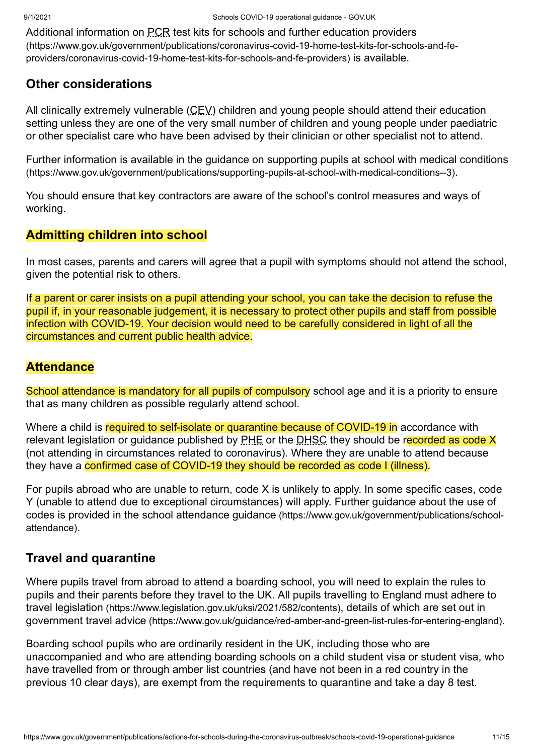[Additional information on PCR test kits for schools and further education providers](https://www.gov.uk/government/publications/coronavirus-covid-19-home-test-kits-for-schools-and-fe-providers/coronavirus-covid-19-home-test-kits-for-schools-and-fe-providers) (https://www.gov.uk/government/publications/coronavirus-covid-19-home-test-kits-for-schools-and-feproviders/coronavirus-covid-19-home-test-kits-for-schools-and-fe-providers) is available.

## **Other considerations**

All clinically extremely vulnerable (CEV) children and young people should attend their education setting unless they are one of the very small number of children and young people under paediatric or other specialist care who have been advised by their clinician or other specialist not to attend.

[Further information is available in the guidance on supporting pupils at school with medical conditions](https://www.gov.uk/government/publications/supporting-pupils-at-school-with-medical-conditions--3) (https://www.gov.uk/government/publications/supporting-pupils-at-school-with-medical-conditions--3).

You should ensure that key contractors are aware of the school's control measures and ways of working.

## **Admitting children into school**

In most cases, parents and carers will agree that a pupil with symptoms should not attend the school, given the potential risk to others.

If a parent or carer insists on a pupil attending your school, you can take the decision to refuse the pupil if, in your reasonable judgement, it is necessary to protect other pupils and staff from possible infection with COVID-19. Your decision would need to be carefully considered in light of all the circumstances and current public health advice.

## **Attendance**

School attendance is mandatory for all pupils of compulsory school age and it is a priority to ensure that as many children as possible regularly attend school.

Where a child is required to self-isolate or quarantine because of COVID-19 in accordance with relevant legislation or guidance published by PHE or the DHSC they should be recorded as code X (not attending in circumstances related to coronavirus). Where they are unable to attend because they have a **confirmed case of COVID-19 they should be recorded as code I (illness)**.

For pupils abroad who are unable to return, code X is unlikely to apply. In some specific cases, code Y (unable to attend due to exceptional circumstances) will apply. Further guidance about the use of [codes is provided in the school attendance guidance](https://www.gov.uk/government/publications/school-attendance) (https://www.gov.uk/government/publications/schoolattendance).

## <span id="page-10-0"></span>**Travel and quarantine**

Where pupils travel from abroad to attend a boarding school, you will need to explain the rules to pupils and their parents before they travel to the UK. All pupils travelling to England must adhere to travel legislation [\(https://www.legislation.gov.uk/uksi/2021/582/contents\)](https://www.legislation.gov.uk/uksi/2021/582/contents), details of which are set out in government travel advice [\(https://www.gov.uk/guidance/red-amber-and-green-list-rules-for-entering-england\)](https://www.gov.uk/guidance/red-amber-and-green-list-rules-for-entering-england).

Boarding school pupils who are ordinarily resident in the UK, including those who are unaccompanied and who are attending boarding schools on a child student visa or student visa, who have travelled from or through amber list countries (and have not been in a red country in the previous 10 clear days), are exempt from the requirements to quarantine and take a day 8 test.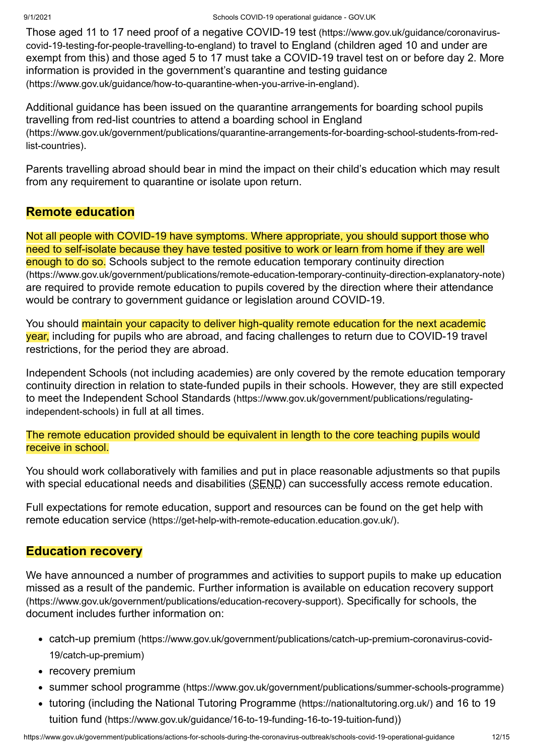[Those aged 11 to 17 need proof of a negative COVID-19 test](https://www.gov.uk/guidance/coronavirus-covid-19-testing-for-people-travelling-to-england) (https://www.gov.uk/guidance/coronaviruscovid-19-testing-for-people-travelling-to-england) to travel to England (children aged 10 and under are exempt from this) and those aged 5 to 17 must take a COVID-19 travel test on or before day 2. More [information is provided in the government's quarantine and testing guidance](https://www.gov.uk/guidance/how-to-quarantine-when-you-arrive-in-england) (https://www.gov.uk/guidance/how-to-quarantine-when-you-arrive-in-england).

[Additional guidance has been issued on the quarantine arrangements for boarding school pupils](https://www.gov.uk/government/publications/quarantine-arrangements-for-boarding-school-students-from-red-list-countries) travelling from red-list countries to attend a boarding school in England (https://www.gov.uk/government/publications/quarantine-arrangements-for-boarding-school-students-from-redlist-countries).

Parents travelling abroad should bear in mind the impact on their child's education which may result from any requirement to quarantine or isolate upon return.

## **Remote education**

Not all people with COVID-19 have symptoms. Where appropriate, you should support those who need to self-isolate because they have tested positive to work or learn from home if they are well enough to do so. Schools subject to the remote education temporary continuity direction [\(https://www.gov.uk/government/publications/remote-education-temporary-continuity-direction-explanatory-note\)](https://www.gov.uk/government/publications/remote-education-temporary-continuity-direction-explanatory-note) are required to provide remote education to pupils covered by the direction where their attendance would be contrary to government guidance or legislation around COVID-19.

You should maintain your capacity to deliver high-quality remote education for the next academic year, including for pupils who are abroad, and facing challenges to return due to COVID-19 travel restrictions, for the period they are abroad.

Independent Schools (not including academies) are only covered by the remote education temporary continuity direction in relation to state-funded pupils in their schools. However, they are still expected to meet the Independent School Standards [\(https://www.gov.uk/government/publications/regulating](https://www.gov.uk/government/publications/regulating-independent-schools)independent-schools) in full at all times.

## The remote education provided should be equivalent in length to the core teaching pupils would receive in school.

You should work collaboratively with families and put in place reasonable adjustments so that pupils with special educational needs and disabilities (SEND) can successfully access remote education.

[Full expectations for remote education, support and resources can be found on the get help with](https://get-help-with-remote-education.education.gov.uk/) remote education service (https://get-help-with-remote-education.education.gov.uk/).

## **Education recovery**

We have announced a number of programmes and activities to support pupils to make up education [missed as a result of the pandemic. Further information is available on education recovery support](https://www.gov.uk/government/publications/education-recovery-support) (https://www.gov.uk/government/publications/education-recovery-support). Specifically for schools, the document includes further information on:

- catch-up premium [\(https://www.gov.uk/government/publications/catch-up-premium-coronavirus-covid-](https://www.gov.uk/government/publications/catch-up-premium-coronavirus-covid-19/catch-up-premium)19/catch-up-premium)
- recovery premium
- summer school programme [\(https://www.gov.uk/government/publications/summer-schools-programme\)](https://www.gov.uk/government/publications/summer-schools-programme)
- tutoring (including the [National Tutoring Programme](https://nationaltutoring.org.uk/) (https://nationaltutoring.org.uk/) and 16 to 19 tuition fund [\(https://www.gov.uk/guidance/16-to-19-funding-16-to-19-tuition-fund\)](https://www.gov.uk/guidance/16-to-19-funding-16-to-19-tuition-fund))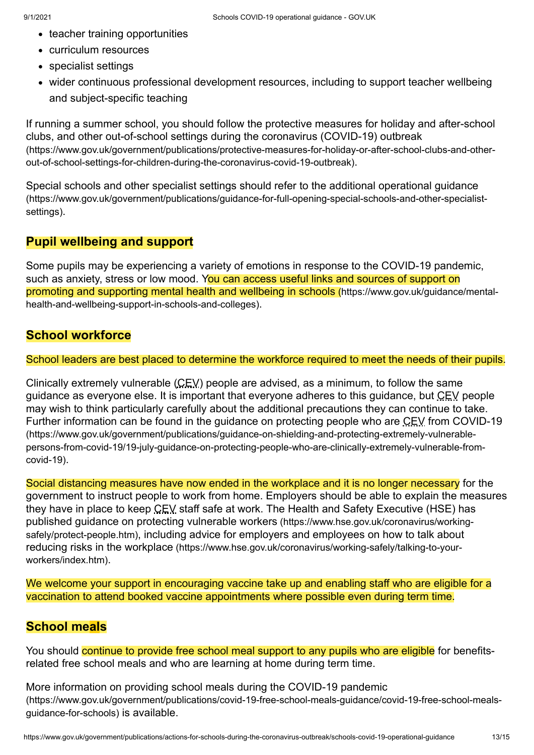- teacher training opportunities
- curriculum resources
- specialist settings
- wider continuous professional development resources, including to support teacher wellbeing and subject-specific teaching

[If running a summer school, you should follow the protective measures for holiday and after-school](https://www.gov.uk/government/publications/protective-measures-for-holiday-or-after-school-clubs-and-other-out-of-school-settings-for-children-during-the-coronavirus-covid-19-outbreak) clubs, and other out-of-school settings during the coronavirus (COVID-19) outbreak (https://www.gov.uk/government/publications/protective-measures-for-holiday-or-after-school-clubs-and-otherout-of-school-settings-for-children-during-the-coronavirus-covid-19-outbreak).

[Special schools and other specialist settings should refer to the additional operational guidance](https://www.gov.uk/government/publications/guidance-for-full-opening-special-schools-and-other-specialist-settings) (https://www.gov.uk/government/publications/guidance-for-full-opening-special-schools-and-other-specialistsettings).

## **Pupil wellbeing and support**

Some pupils may be experiencing a variety of emotions in response to the COVID-19 pandemic, such as anxiety, stress or low mood. You can access useful links and sources of support on [promoting and supporting mental health and wellbeing in schools](https://www.gov.uk/guidance/mental-health-and-wellbeing-support-in-schools-and-colleges) (https://www.gov.uk/guidance/mentalhealth-and-wellbeing-support-in-schools-and-colleges).

## **School workforce**

School leaders are best placed to determine the workforce required to meet the needs of their pupils.

Clinically extremely vulnerable (CEV) people are advised, as a minimum, to follow the same guidance as everyone else. It is important that everyone adheres to this guidance, but CEV people may wish to think particularly carefully about the additional precautions they can continue to take. [Further information can be found in the guidance on protecting people who are CEV from COVID-19](https://www.gov.uk/government/publications/guidance-on-shielding-and-protecting-extremely-vulnerable-persons-from-covid-19/19-july-guidance-on-protecting-people-who-are-clinically-extremely-vulnerable-from-covid-19) (https://www.gov.uk/government/publications/guidance-on-shielding-and-protecting-extremely-vulnerablepersons-from-covid-19/19-july-guidance-on-protecting-people-who-are-clinically-extremely-vulnerable-fromcovid-19).

Social distancing measures have now ended in the workplace and it is no longer necessary for the government to instruct people to work from home. Employers should be able to explain the measures they have in place to keep CEV staff safe at work. The Health and Safety Executive (HSE) has published guidance on protecting vulnerable workers (https://www.hse.gov.uk/coronavirus/workingsafely/protect-people.htm)[, including advice for employers and employees on how to talk abou](https://www.hse.gov.uk/coronavirus/working-safely/talking-to-your-workers/index.htm)[t](https://www.hse.gov.uk/coronavirus/working-safely/protect-people.htm) reducing risks in the workplace (https://www.hse.gov.uk/coronavirus/working-safely/talking-to-yourworkers/index.htm).

We welcome your support in encouraging vaccine take up and enabling staff who are eligible for a vaccination to attend booked vaccine appointments where possible even during term time.

## **School meals**

You should continue to provide free school meal support to any pupils who are eligible for benefitsrelated free school meals and who are learning at home during term time.

More information on providing school meals during the COVID-19 pandemic [\(https://www.gov.uk/government/publications/covid-19-free-school-meals-guidance/covid-19-free-school-meals](https://www.gov.uk/government/publications/covid-19-free-school-meals-guidance/covid-19-free-school-meals-guidance-for-schools)guidance-for-schools) is available.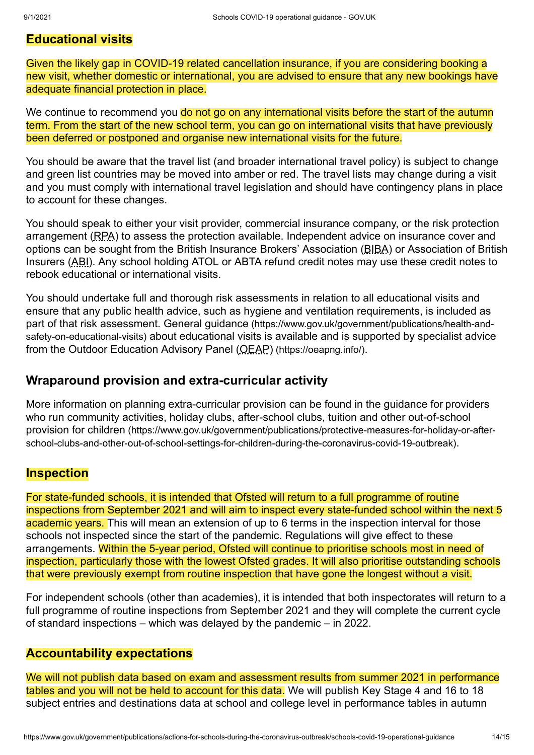## **Educational visits**

Given the likely gap in COVID-19 related cancellation insurance, if you are considering booking a new visit, whether domestic or international, you are advised to ensure that any new bookings have adequate financial protection in place.

We continue to recommend you do not go on any international visits before the start of the autumn term. From the start of the new school term, you can go on international visits that have previously been deferred or postponed and organise new international visits for the future.

You should be aware that the travel list (and broader international travel policy) is subject to change and green list countries may be moved into amber or red. The travel lists may change during a visit and you must comply with international travel legislation and should have contingency plans in place to account for these changes.

You should speak to either your visit provider, commercial insurance company, or the risk protection arrangement (RPA) to assess the protection available. Independent advice on insurance cover and options can be sought from the British Insurance Brokers' Association (BIBA) or Association of British Insurers (ABI). Any school holding ATOL or ABTA refund credit notes may use these credit notes to rebook educational or international visits.

You should undertake full and thorough risk assessments in relation to all educational visits and ensure that any public health advice, such as hygiene and ventilation requirements, is included as part of that risk assessment. General guidance (https://www.gov.uk/government/publications/health-andsafety-on-educational-visits) [about educational visits is available and is supported by specialist advice](https://www.gov.uk/government/publications/health-and-safety-on-educational-visits) from the [Outdoor Education Advisory Panel \(OEAP\)](https://oeapng.info/) (https://oeapng.info/).

## **Wraparound provision and extra-curricular activity**

More information on planning extra-curricular provision can be found in the guidance for providers [who run community activities, holiday clubs, after-school clubs, tuition and other out-of-school](https://www.gov.uk/government/publications/protective-measures-for-holiday-or-after-school-clubs-and-other-out-of-school-settings-for-children-during-the-coronavirus-covid-19-outbreak) provision for children (https://www.gov.uk/government/publications/protective-measures-for-holiday-or-afterschool-clubs-and-other-out-of-school-settings-for-children-during-the-coronavirus-covid-19-outbreak).

## **Inspection**

For state-funded schools, it is intended that Ofsted will return to a full programme of routine inspections from September 2021 and will aim to inspect every state-funded school within the next 5 academic years. This will mean an extension of up to 6 terms in the inspection interval for those schools not inspected since the start of the pandemic. Regulations will give effect to these arrangements. Within the 5-year period, Ofsted will continue to prioritise schools most in need of inspection, particularly those with the lowest Ofsted grades. It will also prioritise outstanding schools that were previously exempt from routine inspection that have gone the longest without a visit.

For independent schools (other than academies), it is intended that both inspectorates will return to a full programme of routine inspections from September 2021 and they will complete the current cycle of standard inspections – which was delayed by the pandemic – in 2022.

## **Accountability expectations**

We will not publish data based on exam and assessment results from summer 2021 in performance tables and you will not be held to account for this data. We will publish Key Stage 4 and 16 to 18 subject entries and destinations data at school and college level in performance tables in autumn